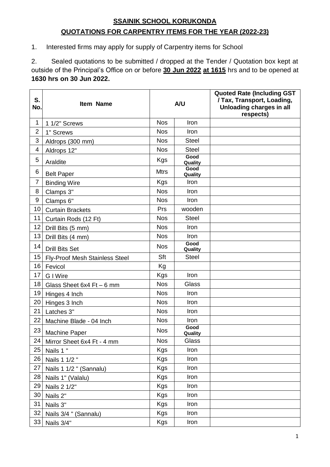## **SSAINIK SCHOOL KORUKONDA QUOTATIONS FOR CARPENTRY ITEMS FOR THE YEAR (2022-23)**

1. Interested firms may apply for supply of Carpentry items for School

2. Sealed quotations to be submitted / dropped at the Tender / Quotation box kept at outside of the Principal's Office on or before **30 Jun 2022 at 1615** hrs and to be opened at **1630 hrs on 30 Jun 2022.**

| S.<br>No.      | <b>Item Name</b>               | A/U         |                 | <b>Quoted Rate (Including GST</b><br>/ Tax, Transport, Loading,<br>Unloading charges in all<br>respects) |
|----------------|--------------------------------|-------------|-----------------|----------------------------------------------------------------------------------------------------------|
| $\mathbf 1$    | 1 1/2" Screws                  | <b>Nos</b>  | Iron            |                                                                                                          |
| $\overline{2}$ | 1" Screws                      | <b>Nos</b>  | Iron            |                                                                                                          |
| 3              | Aldrops (300 mm)               | <b>Nos</b>  | <b>Steel</b>    |                                                                                                          |
| 4              | Aldrops 12"                    | <b>Nos</b>  | <b>Steel</b>    |                                                                                                          |
| 5              | Araldite                       | Kgs         | Good<br>Quality |                                                                                                          |
| 6              | <b>Belt Paper</b>              | <b>Mtrs</b> | Good<br>Quality |                                                                                                          |
| $\overline{7}$ | <b>Binding Wire</b>            | <b>Kgs</b>  | Iron            |                                                                                                          |
| 8              | Clamps 3"                      | <b>Nos</b>  | Iron            |                                                                                                          |
| 9              | Clamps 6"                      | <b>Nos</b>  | Iron            |                                                                                                          |
| 10             | <b>Curtain Brackets</b>        | Prs         | wooden          |                                                                                                          |
| 11             | Curtain Rods (12 Ft)           | <b>Nos</b>  | <b>Steel</b>    |                                                                                                          |
| 12             | Drill Bits (5 mm)              | <b>Nos</b>  | <b>Iron</b>     |                                                                                                          |
| 13             | Drill Bits (4 mm)              | <b>Nos</b>  | Iron            |                                                                                                          |
| 14             | <b>Drill Bits Set</b>          | <b>Nos</b>  | Good<br>Quality |                                                                                                          |
| 15             | Fly-Proof Mesh Stainless Steel | Sft         | <b>Steel</b>    |                                                                                                          |
| 16             | Fevicol                        | Kg          |                 |                                                                                                          |
| 17             | <b>G</b> I Wire                | <b>Kgs</b>  | Iron            |                                                                                                          |
| 18             | Glass Sheet 6x4 Ft - 6 mm      | <b>Nos</b>  | Glass           |                                                                                                          |
| 19             | Hinges 4 Inch                  | <b>Nos</b>  | Iron            |                                                                                                          |
| 20             | Hinges 3 Inch                  | <b>Nos</b>  | Iron            |                                                                                                          |
| 21             | Latches 3"                     | <b>Nos</b>  | Iron            |                                                                                                          |
| 22             | Machine Blade - 04 Inch        | <b>Nos</b>  | Iron            |                                                                                                          |
| 23             | Machine Paper                  | <b>Nos</b>  | Good<br>Quality |                                                                                                          |
| 24             | Mirror Sheet 6x4 Ft - 4 mm     | <b>Nos</b>  | Glass           |                                                                                                          |
| 25             | Nails 1"                       | Kgs         | Iron            |                                                                                                          |
| 26             | Nails 1 1/2 "                  | Kgs         | Iron            |                                                                                                          |
| 27             | Nails 1 1/2 " (Sannalu)        | Kgs         | Iron            |                                                                                                          |
| 28             | Nails 1" (Valalu)              | Kgs         | Iron            |                                                                                                          |
| 29             | Nails 2 1/2"                   | Kgs         | Iron            |                                                                                                          |
| 30             | Nails 2"                       | Kgs         | Iron            |                                                                                                          |
| 31             | Nails 3"                       | Kgs         | Iron            |                                                                                                          |
| 32             | Nails 3/4 " (Sannalu)          | Kgs         | Iron            |                                                                                                          |
| 33             | Nails 3/4"                     | Kgs         | Iron            |                                                                                                          |